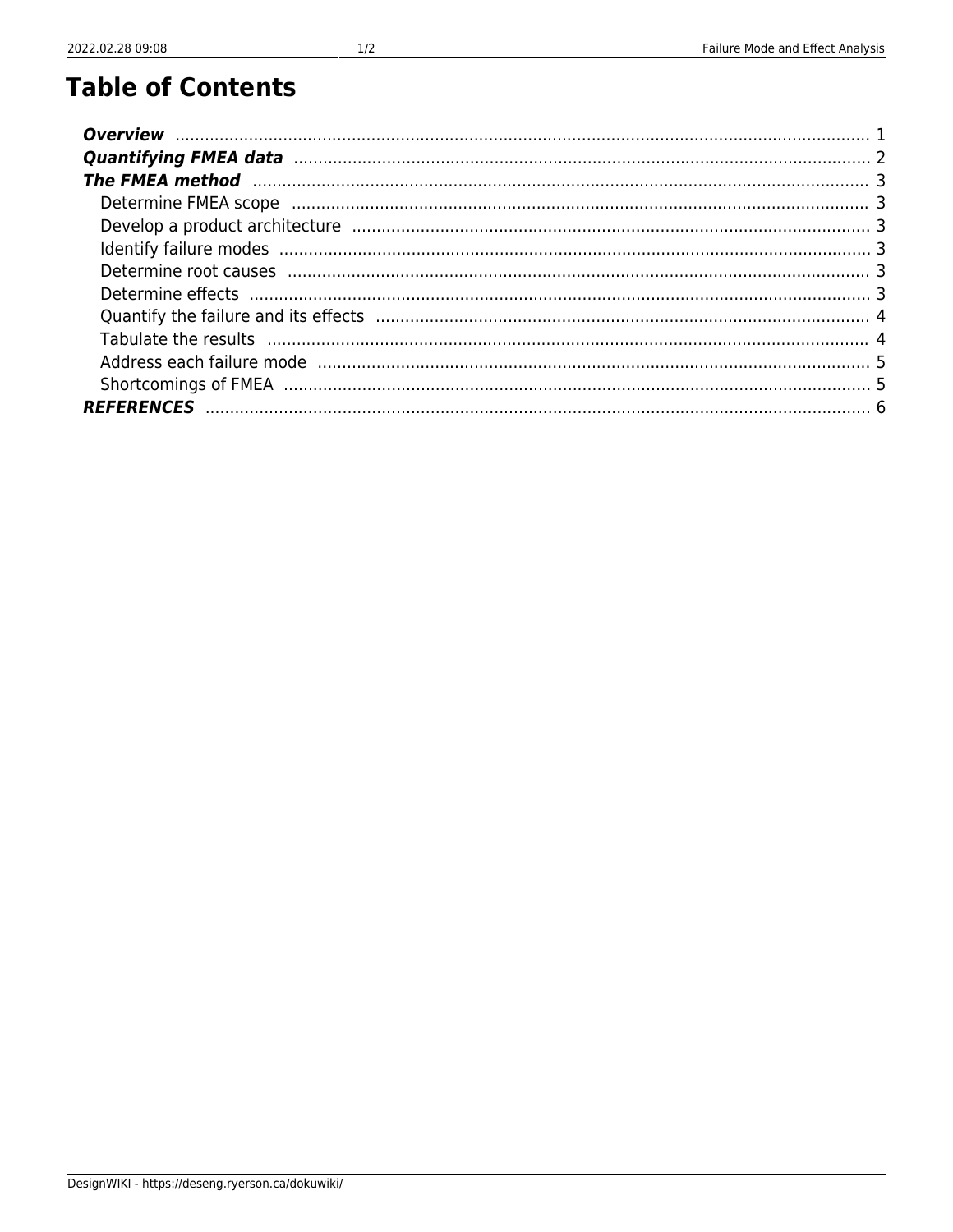# **Table of Contents**

| The FMEA method manufactured and the control of the state of the state of the state of the state of the state of the state of the state of the state of the state of the state of the state of the state of the state of the s |  |
|--------------------------------------------------------------------------------------------------------------------------------------------------------------------------------------------------------------------------------|--|
|                                                                                                                                                                                                                                |  |
|                                                                                                                                                                                                                                |  |
|                                                                                                                                                                                                                                |  |
|                                                                                                                                                                                                                                |  |
|                                                                                                                                                                                                                                |  |
|                                                                                                                                                                                                                                |  |
|                                                                                                                                                                                                                                |  |
| Address each failure mode must be an accommunication of the control of the model of the state of the state of t                                                                                                                |  |
|                                                                                                                                                                                                                                |  |
|                                                                                                                                                                                                                                |  |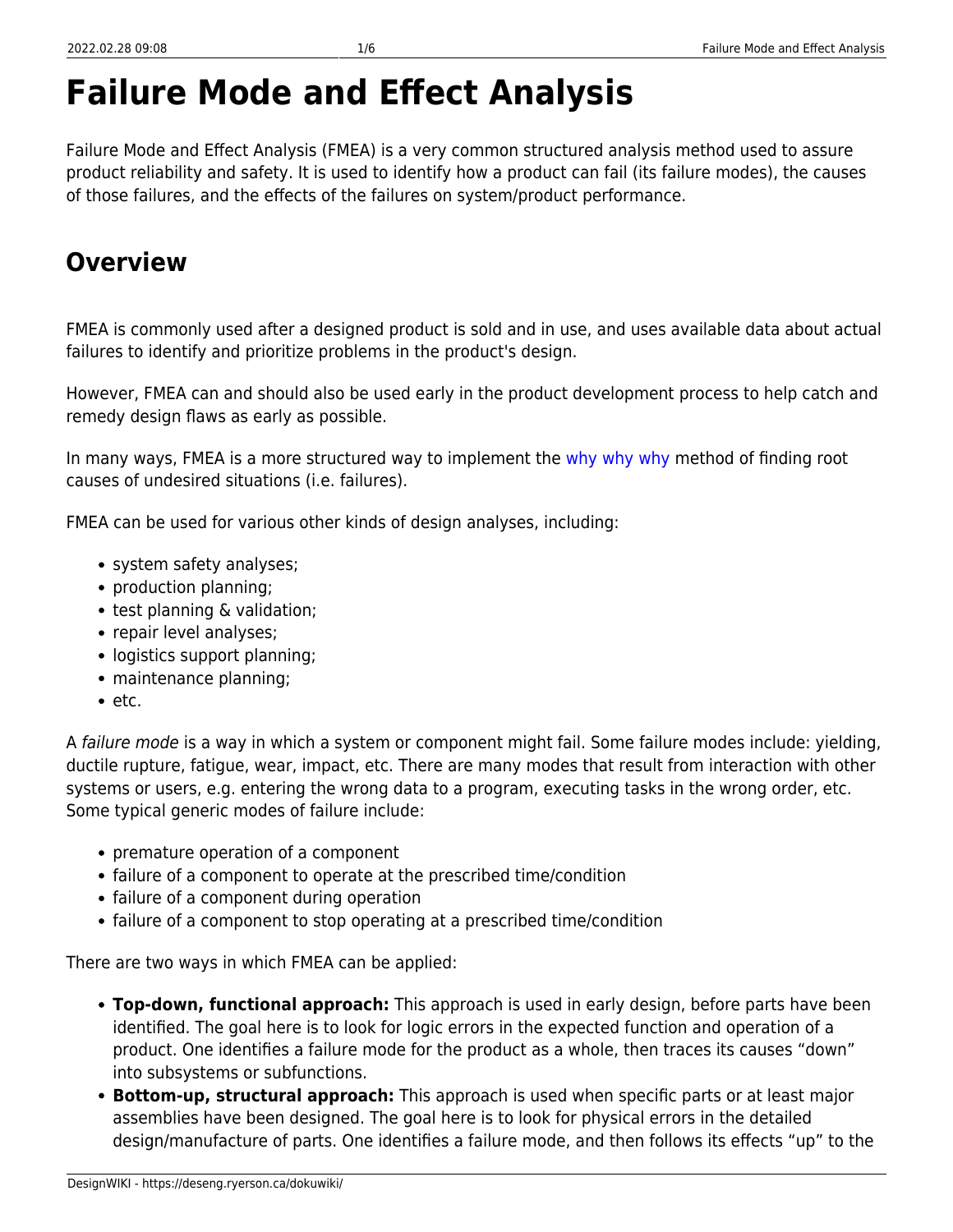# **Failure Mode and Effect Analysis**

Failure Mode and Effect Analysis (FMEA) is a very common structured analysis method used to assure product reliability and safety. It is used to identify how a product can fail (its failure modes), the causes of those failures, and the effects of the failures on system/product performance.

# <span id="page-2-0"></span>**Overview**

FMEA is commonly used after a designed product is sold and in use, and uses available data about actual failures to identify and prioritize problems in the product's design.

However, FMEA can and should also be used early in the product development process to help catch and remedy design flaws as early as possible.

In many ways, FMEA is a more structured way to implement the [why why why](https://deseng.ryerson.ca/dokuwiki/design:why_why_why) method of finding root causes of undesired situations (i.e. failures).

FMEA can be used for various other kinds of design analyses, including:

- system safety analyses;
- production planning;
- test planning & validation;
- repair level analyses;
- logistics support planning;
- maintenance planning;
- $e$  etc.

A failure mode is a way in which a system or component might fail. Some failure modes include: yielding, ductile rupture, fatigue, wear, impact, etc. There are many modes that result from interaction with other systems or users, e.g. entering the wrong data to a program, executing tasks in the wrong order, etc. Some typical generic modes of failure include:

- premature operation of a component
- failure of a component to operate at the prescribed time/condition
- failure of a component during operation
- failure of a component to stop operating at a prescribed time/condition

There are two ways in which FMEA can be applied:

- **Top-down, functional approach:** This approach is used in early design, before parts have been identified. The goal here is to look for logic errors in the expected function and operation of a product. One identifies a failure mode for the product as a whole, then traces its causes "down" into subsystems or subfunctions.
- **Bottom-up, structural approach:** This approach is used when specific parts or at least major assemblies have been designed. The goal here is to look for physical errors in the detailed design/manufacture of parts. One identifies a failure mode, and then follows its effects "up" to the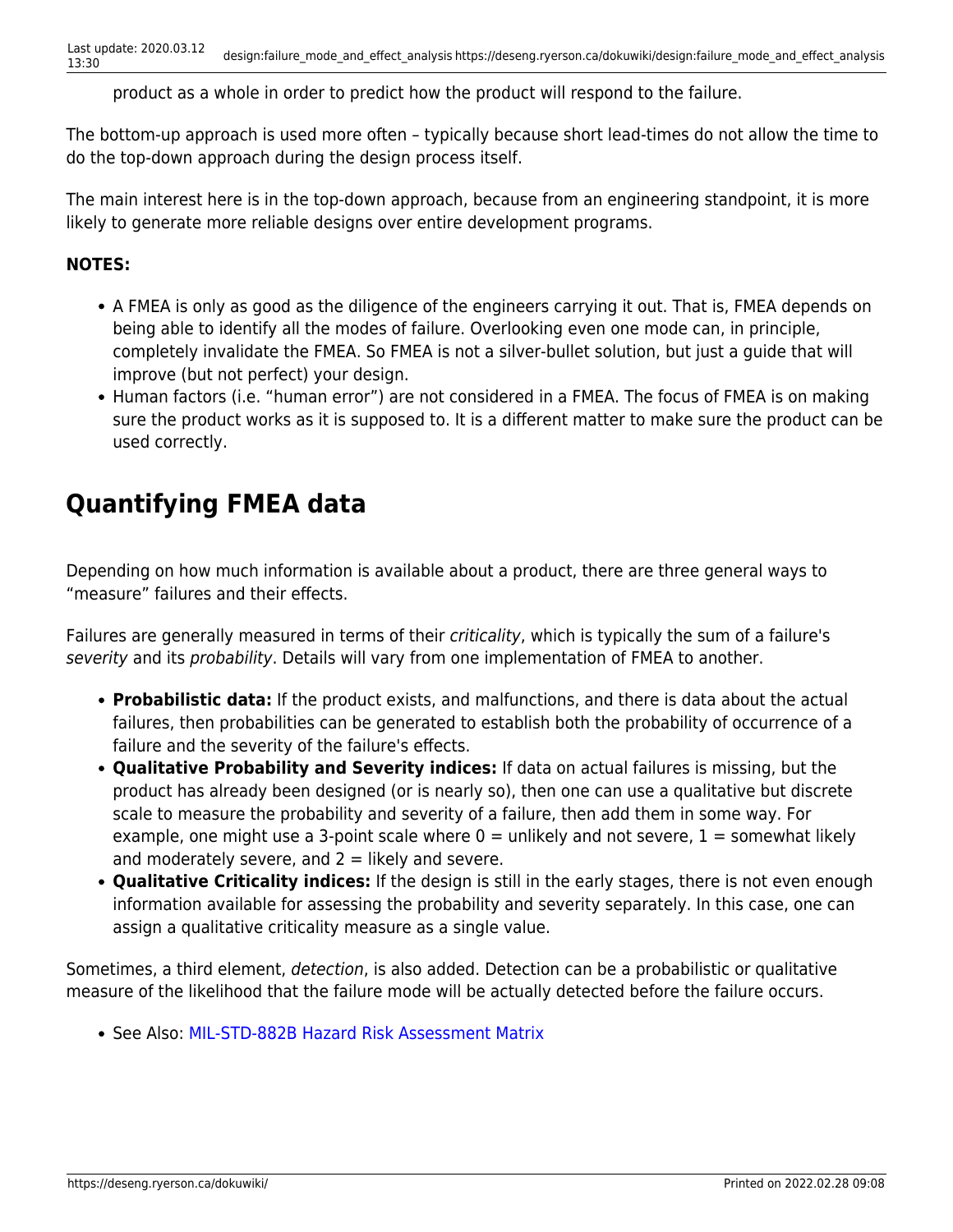product as a whole in order to predict how the product will respond to the failure.

The bottom-up approach is used more often – typically because short lead-times do not allow the time to do the top-down approach during the design process itself.

The main interest here is in the top-down approach, because from an engineering standpoint, it is more likely to generate more reliable designs over entire development programs.

#### **NOTES:**

- A FMEA is only as good as the diligence of the engineers carrying it out. That is, FMEA depends on being able to identify all the modes of failure. Overlooking even one mode can, in principle, completely invalidate the FMEA. So FMEA is not a silver-bullet solution, but just a guide that will improve (but not perfect) your design.
- Human factors (i.e. "human error") are not considered in a FMEA. The focus of FMEA is on making sure the product works as it is supposed to. It is a different matter to make sure the product can be used correctly.

# <span id="page-3-0"></span>**Quantifying FMEA data**

Depending on how much information is available about a product, there are three general ways to "measure" failures and their effects.

Failures are generally measured in terms of their *criticality*, which is typically the sum of a failure's severity and its probability. Details will vary from one implementation of FMEA to another.

- **Probabilistic data:** If the product exists, and malfunctions, and there is data about the actual failures, then probabilities can be generated to establish both the probability of occurrence of a failure and the severity of the failure's effects.
- **Qualitative Probability and Severity indices:** If data on actual failures is missing, but the product has already been designed (or is nearly so), then one can use a qualitative but discrete scale to measure the probability and severity of a failure, then add them in some way. For example, one might use a 3-point scale where  $0 =$  unlikely and not severe,  $1 =$  somewhat likely and moderately severe, and  $2 =$  likely and severe.
- **Qualitative Criticality indices:** If the design is still in the early stages, there is not even enough information available for assessing the probability and severity separately. In this case, one can assign a qualitative criticality measure as a single value.

Sometimes, a third element, detection, is also added. Detection can be a probabilistic or qualitative measure of the likelihood that the failure mode will be actually detected before the failure occurs.

• See Also: [MIL-STD-882B Hazard Risk Assessment Matrix](http://sunnyday.mit.edu/safety-club/882b.htm)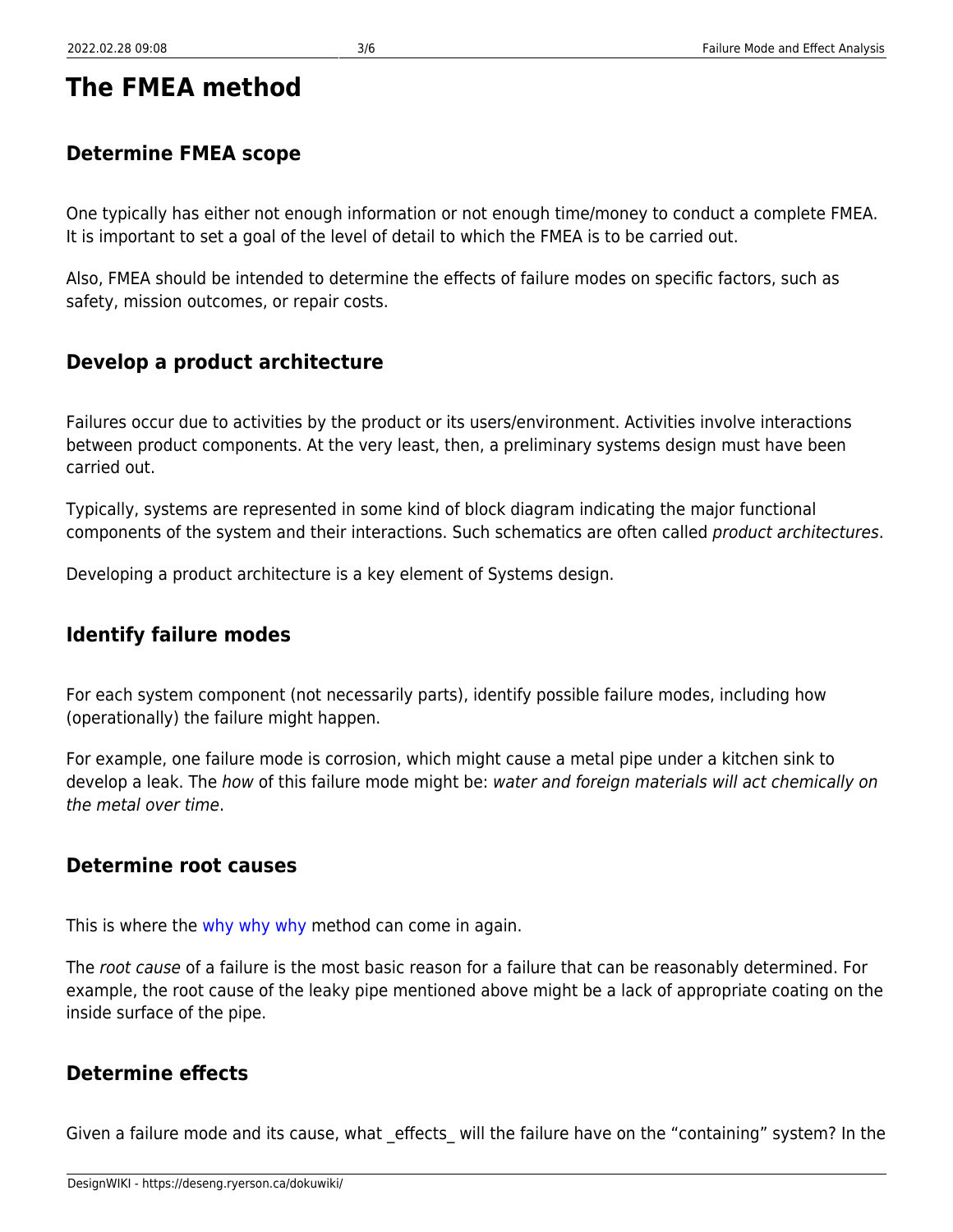### <span id="page-4-1"></span>**Determine FMEA scope**

One typically has either not enough information or not enough time/money to conduct a complete FMEA. It is important to set a goal of the level of detail to which the FMEA is to be carried out.

Also, FMEA should be intended to determine the effects of failure modes on specific factors, such as safety, mission outcomes, or repair costs.

### <span id="page-4-2"></span>**Develop a product architecture**

Failures occur due to activities by the product or its users/environment. Activities involve interactions between product components. At the very least, then, a preliminary systems design must have been carried out.

Typically, systems are represented in some kind of block diagram indicating the major functional components of the system and their interactions. Such schematics are often called product architectures.

Developing a product architecture is a key element of Systems design.

### <span id="page-4-3"></span>**Identify failure modes**

For each system component (not necessarily parts), identify possible failure modes, including how (operationally) the failure might happen.

For example, one failure mode is corrosion, which might cause a metal pipe under a kitchen sink to develop a leak. The how of this failure mode might be: water and foreign materials will act chemically on the metal over time.

### <span id="page-4-4"></span>**Determine root causes**

This is where the [why why why](https://deseng.ryerson.ca/dokuwiki/design:why_why_why) method can come in again.

The root cause of a failure is the most basic reason for a failure that can be reasonably determined. For example, the root cause of the leaky pipe mentioned above might be a lack of appropriate coating on the inside surface of the pipe.

### <span id="page-4-5"></span>**Determine effects**

<span id="page-4-0"></span>Given a failure mode and its cause, what effects will the failure have on the "containing" system? In the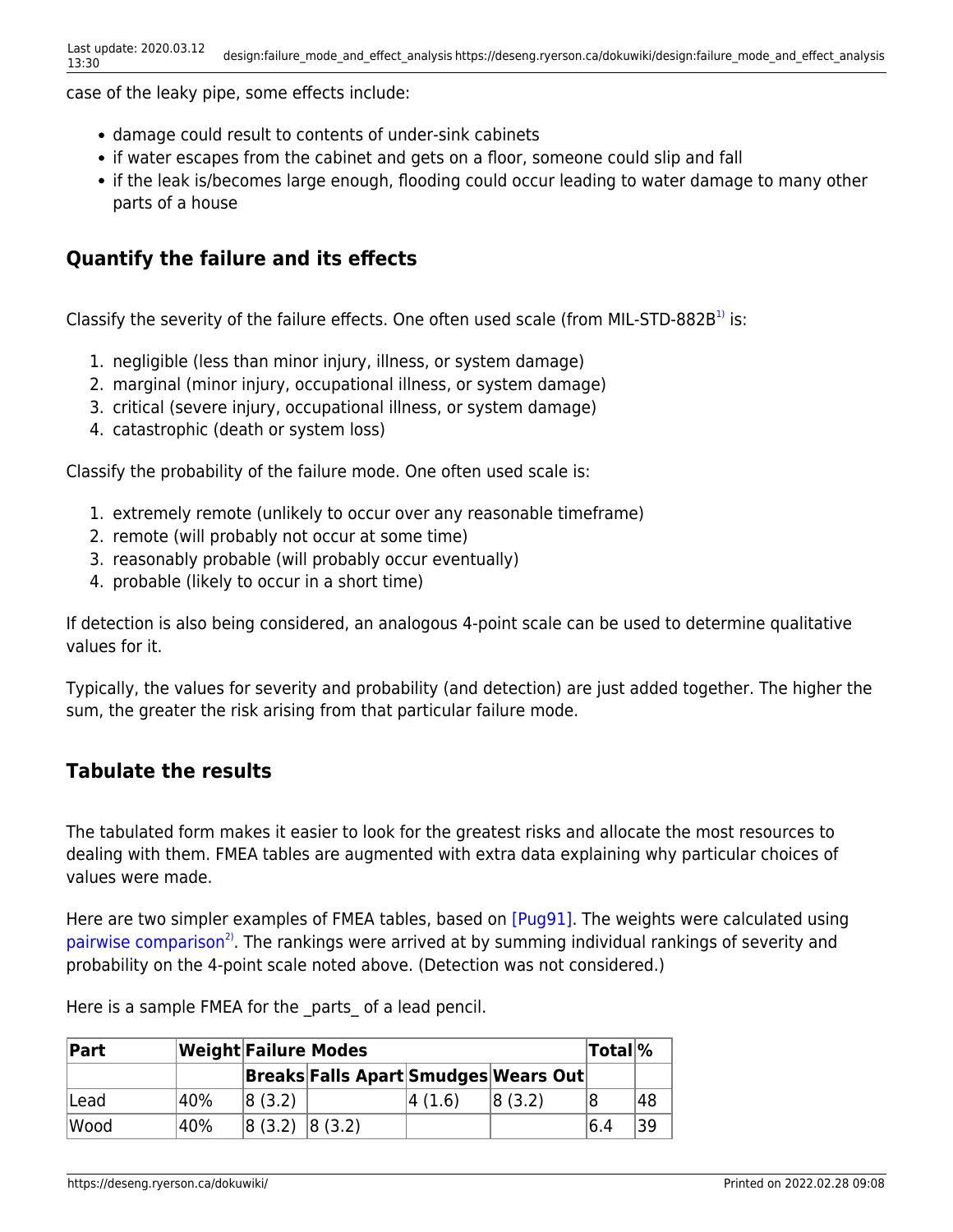case of the leaky pipe, some effects include:

- damage could result to contents of under-sink cabinets
- if water escapes from the cabinet and gets on a floor, someone could slip and fall
- if the leak is/becomes large enough, flooding could occur leading to water damage to many other parts of a house

#### <span id="page-5-0"></span>**Quantify the failure and its effects**

Classify the severity of the failure effects. One often used scale (from MIL-STD-882B<sup>[1\)](#page--1-0)</sup> is:

- 1. negligible (less than minor injury, illness, or system damage)
- 2. marginal (minor injury, occupational illness, or system damage)
- 3. critical (severe injury, occupational illness, or system damage)
- 4. catastrophic (death or system loss)

Classify the probability of the failure mode. One often used scale is:

- 1. extremely remote (unlikely to occur over any reasonable timeframe)
- 2. remote (will probably not occur at some time)
- 3. reasonably probable (will probably occur eventually)
- 4. probable (likely to occur in a short time)

If detection is also being considered, an analogous 4-point scale can be used to determine qualitative values for it.

Typically, the values for severity and probability (and detection) are just added together. The higher the sum, the greater the risk arising from that particular failure mode.

#### <span id="page-5-1"></span>**Tabulate the results**

The tabulated form makes it easier to look for the greatest risks and allocate the most resources to dealing with them. FMEA tables are augmented with extra data explaining why particular choices of values were made.

<span id="page-5-2"></span>Here are two simpler examples of FMEA tables, based on [\[Pug91\].](#page-7-1) The weights were calculated using [pairwise comparison](https://deseng.ryerson.ca/dokuwiki/design:pairwise_comparison)<sup>[2\)](#page--1-0)</sup>. The rankings were arrived at by summing individual rankings of severity and probability on the 4-point scale noted above. (Detection was not considered.)

| Part |     | <b>Weight Failure Modes</b> |                                             |         |        |     | <b>Total</b> % |
|------|-----|-----------------------------|---------------------------------------------|---------|--------|-----|----------------|
|      |     |                             | <b>Breaks Falls Apart Smudges Wears Out</b> |         |        |     |                |
| Lead | 40% | 8(3.2)                      |                                             | 4 (1.6) | 8(3,2) |     | 48             |
| Wood | 40% | 8(3.2) 8(3.2)               |                                             |         |        | 6.4 | 39             |

Here is a sample FMEA for the parts of a lead pencil.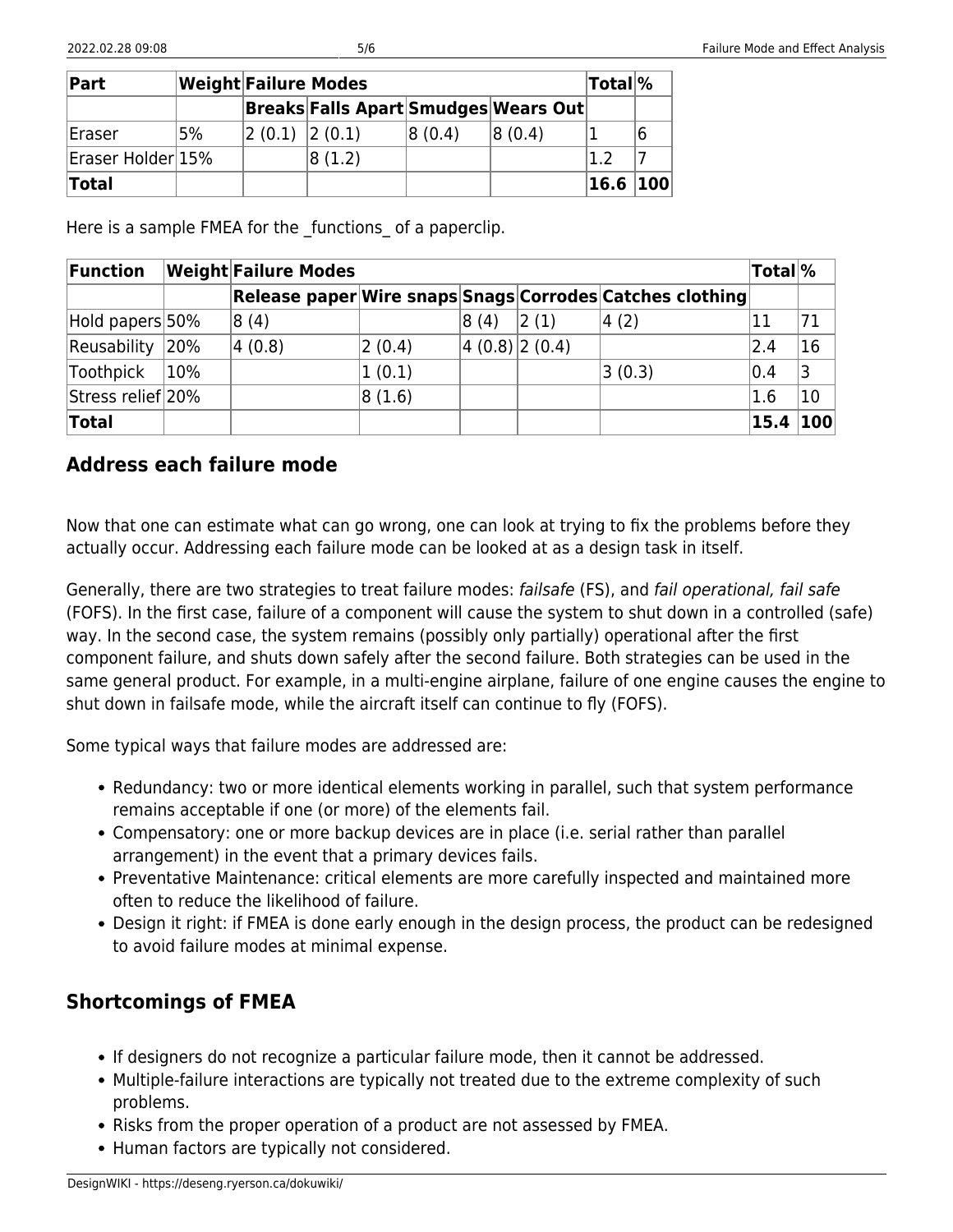| Part              | <b>Weight Failure Modes</b> |               | Total <sup>%</sup>                   |        |        |      |     |
|-------------------|-----------------------------|---------------|--------------------------------------|--------|--------|------|-----|
|                   |                             |               | Breaks Falls Apart Smudges Wears Out |        |        |      |     |
| Eraser            | 5%                          | 2(0.1) 2(0.1) |                                      | 8(0.4) | 8(0.4) |      |     |
| Eraser Holder 15% |                             |               | 8(1.2)                               |        |        |      |     |
| <b>Total</b>      |                             |               |                                      |        |        | 16.6 | 100 |

Here is a sample FMEA for the functions of a paperclip.

| Function          |     | <b>Weight Failure Modes</b> |        |               |      |                                                          |      | Total <sup>\%</sup> |
|-------------------|-----|-----------------------------|--------|---------------|------|----------------------------------------------------------|------|---------------------|
|                   |     |                             |        |               |      | Release paper Wire snaps Snags Corrodes Catches clothing |      |                     |
| Hold papers 50%   |     | 8(4)                        |        | 8(4)          | 2(1) | 4(2)                                                     |      | 71                  |
| Reusability       | 20% | 4(0.8)                      | 2(0.4) | 4(0.8) 2(0.4) |      |                                                          | 2.4  | 16                  |
| Toothpick         | 10% |                             | 1(0.1) |               |      | 3(0.3)                                                   | 0.4  | 3                   |
| Stress relief 20% |     |                             | 8(1.6) |               |      |                                                          | 1.6  | 10                  |
| Total             |     |                             |        |               |      |                                                          | 15.4 | 100                 |

#### <span id="page-6-0"></span>**Address each failure mode**

Now that one can estimate what can go wrong, one can look at trying to fix the problems before they actually occur. Addressing each failure mode can be looked at as a design task in itself.

Generally, there are two strategies to treat failure modes: failsafe (FS), and fail operational, fail safe (FOFS). In the first case, failure of a component will cause the system to shut down in a controlled (safe) way. In the second case, the system remains (possibly only partially) operational after the first component failure, and shuts down safely after the second failure. Both strategies can be used in the same general product. For example, in a multi-engine airplane, failure of one engine causes the engine to shut down in failsafe mode, while the aircraft itself can continue to fly (FOFS).

Some typical ways that failure modes are addressed are:

- Redundancy: two or more identical elements working in parallel, such that system performance remains acceptable if one (or more) of the elements fail.
- Compensatory: one or more backup devices are in place (i.e. serial rather than parallel arrangement) in the event that a primary devices fails.
- Preventative Maintenance: critical elements are more carefully inspected and maintained more often to reduce the likelihood of failure.
- Design it right: if FMEA is done early enough in the design process, the product can be redesigned to avoid failure modes at minimal expense.

#### <span id="page-6-1"></span>**Shortcomings of FMEA**

- If designers do not recognize a particular failure mode, then it cannot be addressed.
- Multiple-failure interactions are typically not treated due to the extreme complexity of such problems.
- Risks from the proper operation of a product are not assessed by FMEA.
- Human factors are typically not considered.